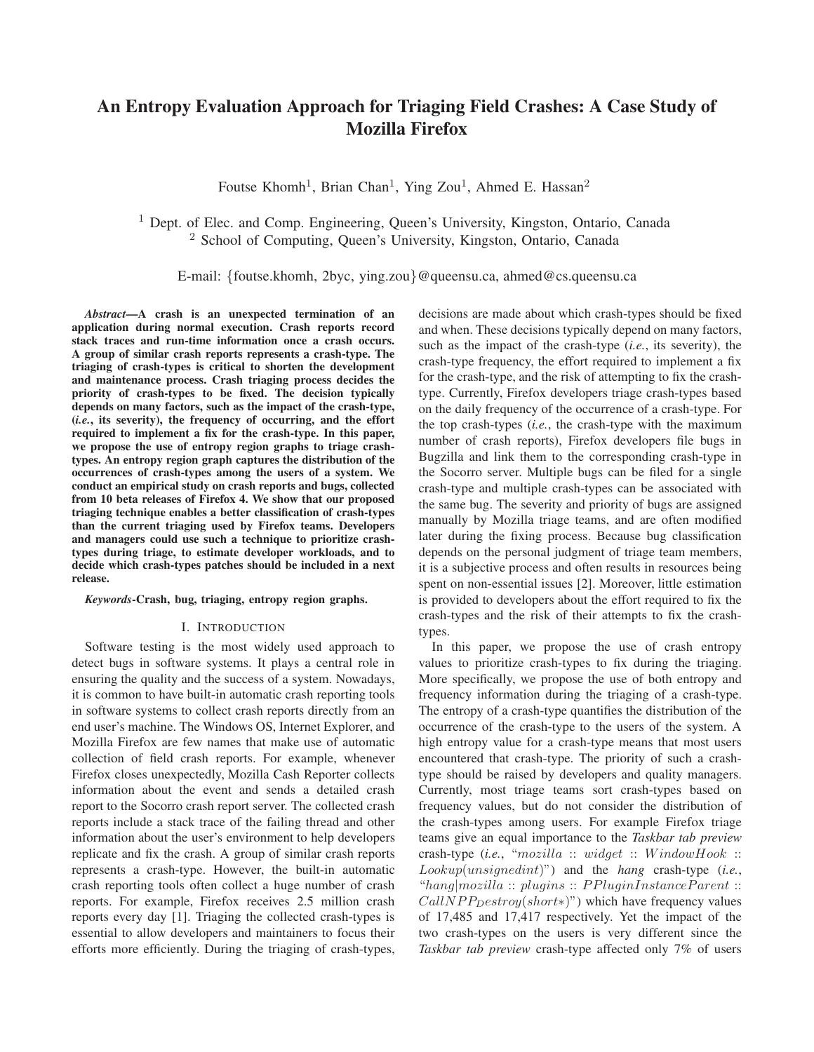# **An Entropy Evaluation Approach for Triaging Field Crashes: A Case Study of Mozilla Firefox**

Foutse Khomh<sup>1</sup>, Brian Chan<sup>1</sup>, Ying Zou<sup>1</sup>, Ahmed E. Hassan<sup>2</sup>

 $<sup>1</sup>$  Dept. of Elec. and Comp. Engineering, Queen's University, Kingston, Ontario, Canada</sup> <sup>2</sup> School of Computing, Queen's University, Kingston, Ontario, Canada

E-mail: {foutse.khomh, 2byc, ying.zou}@queensu.ca, ahmed@cs.queensu.ca

*Abstract***—A crash is an unexpected termination of an application during normal execution. Crash reports record stack traces and run-time information once a crash occurs. A group of similar crash reports represents a crash-type. The triaging of crash-types is critical to shorten the development and maintenance process. Crash triaging process decides the priority of crash-types to be fixed. The decision typically depends on many factors, such as the impact of the crash-type, (***i.e.***, its severity), the frequency of occurring, and the effort required to implement a fix for the crash-type. In this paper, we propose the use of entropy region graphs to triage crashtypes. An entropy region graph captures the distribution of the occurrences of crash-types among the users of a system. We conduct an empirical study on crash reports and bugs, collected from 10 beta releases of Firefox 4. We show that our proposed triaging technique enables a better classification of crash-types than the current triaging used by Firefox teams. Developers and managers could use such a technique to prioritize crashtypes during triage, to estimate developer workloads, and to decide which crash-types patches should be included in a next release.**

*Keywords***-Crash, bug, triaging, entropy region graphs.**

### I. INTRODUCTION

Software testing is the most widely used approach to detect bugs in software systems. It plays a central role in ensuring the quality and the success of a system. Nowadays, it is common to have built-in automatic crash reporting tools in software systems to collect crash reports directly from an end user's machine. The Windows OS, Internet Explorer, and Mozilla Firefox are few names that make use of automatic collection of field crash reports. For example, whenever Firefox closes unexpectedly, Mozilla Cash Reporter collects information about the event and sends a detailed crash report to the Socorro crash report server. The collected crash reports include a stack trace of the failing thread and other information about the user's environment to help developers replicate and fix the crash. A group of similar crash reports represents a crash-type. However, the built-in automatic crash reporting tools often collect a huge number of crash reports. For example, Firefox receives 2.5 million crash reports every day [1]. Triaging the collected crash-types is essential to allow developers and maintainers to focus their efforts more efficiently. During the triaging of crash-types,

decisions are made about which crash-types should be fixed and when. These decisions typically depend on many factors, such as the impact of the crash-type (*i.e.*, its severity), the crash-type frequency, the effort required to implement a fix for the crash-type, and the risk of attempting to fix the crashtype. Currently, Firefox developers triage crash-types based on the daily frequency of the occurrence of a crash-type. For the top crash-types (*i.e.*, the crash-type with the maximum number of crash reports), Firefox developers file bugs in Bugzilla and link them to the corresponding crash-type in the Socorro server. Multiple bugs can be filed for a single crash-type and multiple crash-types can be associated with the same bug. The severity and priority of bugs are assigned manually by Mozilla triage teams, and are often modified later during the fixing process. Because bug classification depends on the personal judgment of triage team members, it is a subjective process and often results in resources being spent on non-essential issues [2]. Moreover, little estimation is provided to developers about the effort required to fix the crash-types and the risk of their attempts to fix the crashtypes.

In this paper, we propose the use of crash entropy values to prioritize crash-types to fix during the triaging. More specifically, we propose the use of both entropy and frequency information during the triaging of a crash-type. The entropy of a crash-type quantifies the distribution of the occurrence of the crash-type to the users of the system. A high entropy value for a crash-type means that most users encountered that crash-type. The priority of such a crashtype should be raised by developers and quality managers. Currently, most triage teams sort crash-types based on frequency values, but do not consider the distribution of the crash-types among users. For example Firefox triage teams give an equal importance to the *Taskbar tab preview* crash-type (*i.e.*, "*mozilla* :: *widget* :: *W indowHook* :: *Lookup*(*unsignedint*)") and the *hang* crash-type (*i.e.*, "*hang*|*mozilla* :: *plugins* :: *P PluginInstanceP arent* ::  $CallNP$  *P*<sub>*D</sub>estroy*(*short*\*)") which have frequency values</sub> of 17,485 and 17,417 respectively. Yet the impact of the two crash-types on the users is very different since the *Taskbar tab preview* crash-type affected only 7% of users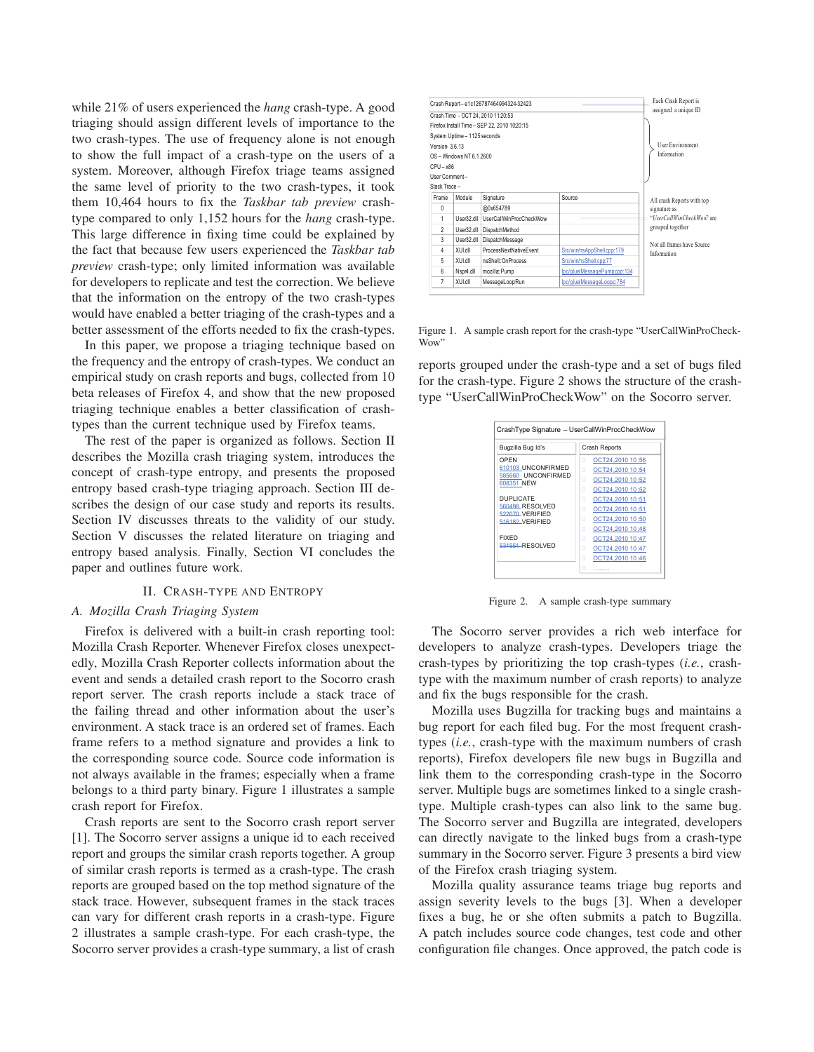while 21% of users experienced the *hang* crash-type. A good triaging should assign different levels of importance to the two crash-types. The use of frequency alone is not enough to show the full impact of a crash-type on the users of a system. Moreover, although Firefox triage teams assigned the same level of priority to the two crash-types, it took them 10,464 hours to fix the *Taskbar tab preview* crashtype compared to only 1,152 hours for the *hang* crash-type. This large difference in fixing time could be explained by the fact that because few users experienced the *Taskbar tab preview* crash-type; only limited information was available for developers to replicate and test the correction. We believe that the information on the entropy of the two crash-types would have enabled a better triaging of the crash-types and a better assessment of the efforts needed to fix the crash-types.

In this paper, we propose a triaging technique based on the frequency and the entropy of crash-types. We conduct an empirical study on crash reports and bugs, collected from 10 beta releases of Firefox 4, and show that the new proposed triaging technique enables a better classification of crashtypes than the current technique used by Firefox teams.

The rest of the paper is organized as follows. Section II describes the Mozilla crash triaging system, introduces the concept of crash-type entropy, and presents the proposed entropy based crash-type triaging approach. Section III describes the design of our case study and reports its results. Section IV discusses threats to the validity of our study. Section V discusses the related literature on triaging and entropy based analysis. Finally, Section VI concludes the paper and outlines future work.

#### II. CRASH-TYPE AND ENTROPY

# *A. Mozilla Crash Triaging System*

Firefox is delivered with a built-in crash reporting tool: Mozilla Crash Reporter. Whenever Firefox closes unexpectedly, Mozilla Crash Reporter collects information about the event and sends a detailed crash report to the Socorro crash report server. The crash reports include a stack trace of the failing thread and other information about the user's environment. A stack trace is an ordered set of frames. Each frame refers to a method signature and provides a link to the corresponding source code. Source code information is not always available in the frames; especially when a frame belongs to a third party binary. Figure 1 illustrates a sample crash report for Firefox.

Crash reports are sent to the Socorro crash report server [1]. The Socorro server assigns a unique id to each received report and groups the similar crash reports together. A group of similar crash reports is termed as a crash-type. The crash reports are grouped based on the top method signature of the stack trace. However, subsequent frames in the stack traces can vary for different crash reports in a crash-type. Figure 2 illustrates a sample crash-type. For each crash-type, the Socorro server provides a crash-type summary, a list of crash



Figure 1. A sample crash report for the crash-type "UserCallWinProCheck-W<sub>ow</sub>

reports grouped under the crash-type and a set of bugs filed for the crash-type. Figure 2 shows the structure of the crashtype "UserCallWinProCheckWow" on the Socorro server.

| Bugzilla Bug Id's                  | Crash Reports    |
|------------------------------------|------------------|
| OPEN                               | OCT24.2010 10:56 |
| 610103 UNCONFIRMED                 | OCT24.2010 10:54 |
| 585660 UNCONFIRMED<br>608351 NEW   | OCT24.2010 10:52 |
|                                    | OCT24.2010 10:52 |
| <b>DUPLICATE</b>                   | OCT24.2010 10:51 |
| 560498-RESOLVED                    | OCT24.2010 10:51 |
| 522070-VERIFIED<br>516182_VERIFIED | OCT24.2010 10:50 |
|                                    | OCT24.2010 10:48 |
| <b>FIXFD</b>                       | OCT24.2010 10:47 |
| 531551 RESOLVED                    | OCT24.2010 10:47 |
|                                    | OCT24.2010 10:46 |

Figure 2. A sample crash-type summary

The Socorro server provides a rich web interface for developers to analyze crash-types. Developers triage the crash-types by prioritizing the top crash-types (*i.e.*, crashtype with the maximum number of crash reports) to analyze and fix the bugs responsible for the crash.

Mozilla uses Bugzilla for tracking bugs and maintains a bug report for each filed bug. For the most frequent crashtypes (*i.e.*, crash-type with the maximum numbers of crash reports), Firefox developers file new bugs in Bugzilla and link them to the corresponding crash-type in the Socorro server. Multiple bugs are sometimes linked to a single crashtype. Multiple crash-types can also link to the same bug. The Socorro server and Bugzilla are integrated, developers can directly navigate to the linked bugs from a crash-type summary in the Socorro server. Figure 3 presents a bird view of the Firefox crash triaging system.

Mozilla quality assurance teams triage bug reports and assign severity levels to the bugs [3]. When a developer fixes a bug, he or she often submits a patch to Bugzilla. A patch includes source code changes, test code and other configuration file changes. Once approved, the patch code is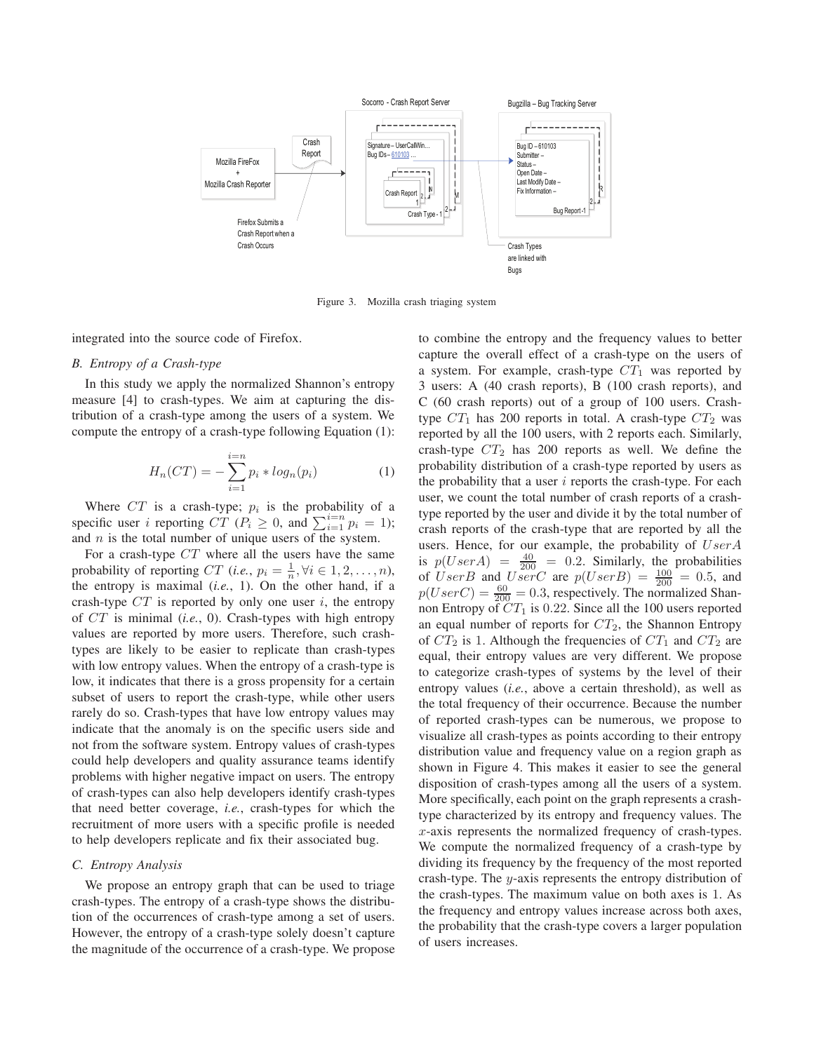

Figure 3. Mozilla crash triaging system

integrated into the source code of Firefox.

# *B. Entropy of a Crash-type*

In this study we apply the normalized Shannon's entropy measure [4] to crash-types. We aim at capturing the distribution of a crash-type among the users of a system. We compute the entropy of a crash-type following Equation (1):

$$
H_n(CT) = -\sum_{i=1}^{i=n} p_i * log_n(p_i)
$$
 (1)

Where  $CT$  is a crash-type;  $p_i$  is the probability of a specific user *i* reporting  $\overrightarrow{CT}$  ( $P_i \geq 0$ , and  $\sum_{i=1}^{i=n} p_i = 1$ ); and *n* is the total number of unique users of the system.

For a crash-type *CT* where all the users have the same probability of reporting *CT* (*i.e.*,  $p_i = \frac{1}{n}, \forall i \in 1, 2, ..., n$ ), the entropy is maximal (*i.e.*, 1). On the other hand, if a crash-type *CT* is reported by only one user *i*, the entropy of *CT* is minimal (*i.e.*, 0). Crash-types with high entropy values are reported by more users. Therefore, such crashtypes are likely to be easier to replicate than crash-types with low entropy values. When the entropy of a crash-type is low, it indicates that there is a gross propensity for a certain subset of users to report the crash-type, while other users rarely do so. Crash-types that have low entropy values may indicate that the anomaly is on the specific users side and not from the software system. Entropy values of crash-types could help developers and quality assurance teams identify problems with higher negative impact on users. The entropy of crash-types can also help developers identify crash-types that need better coverage, *i.e.*, crash-types for which the recruitment of more users with a specific profile is needed to help developers replicate and fix their associated bug.

## *C. Entropy Analysis*

We propose an entropy graph that can be used to triage crash-types. The entropy of a crash-type shows the distribution of the occurrences of crash-type among a set of users. However, the entropy of a crash-type solely doesn't capture the magnitude of the occurrence of a crash-type. We propose to combine the entropy and the frequency values to better capture the overall effect of a crash-type on the users of a system. For example, crash-type  $CT_1$  was reported by 3 users: A (40 crash reports), B (100 crash reports), and C (60 crash reports) out of a group of 100 users. Crashtype  $CT_1$  has 200 reports in total. A crash-type  $CT_2$  was reported by all the 100 users, with 2 reports each. Similarly, crash-type  $CT_2$  has 200 reports as well. We define the probability distribution of a crash-type reported by users as the probability that a user *i* reports the crash-type. For each user, we count the total number of crash reports of a crashtype reported by the user and divide it by the total number of crash reports of the crash-type that are reported by all the users. Hence, for our example, the probability of *UserA* is  $p(UserA) = \frac{40}{200} = 0.2$ . Similarly, the probabilities of *UserB* and *UserC* are  $p(UserB) = \frac{100}{200} = 0.5$ , and  $p(UserC) = \frac{60}{200} = 0.3$ , respectively. The normalized Shannon Entropy of  $\tilde{C}T_1$  is 0.22. Since all the 100 users reported an equal number of reports for *CT*2, the Shannon Entropy of  $CT_2$  is 1. Although the frequencies of  $CT_1$  and  $CT_2$  are equal, their entropy values are very different. We propose to categorize crash-types of systems by the level of their entropy values (*i.e.*, above a certain threshold), as well as the total frequency of their occurrence. Because the number of reported crash-types can be numerous, we propose to visualize all crash-types as points according to their entropy distribution value and frequency value on a region graph as shown in Figure 4. This makes it easier to see the general disposition of crash-types among all the users of a system. More specifically, each point on the graph represents a crashtype characterized by its entropy and frequency values. The *x*-axis represents the normalized frequency of crash-types. We compute the normalized frequency of a crash-type by dividing its frequency by the frequency of the most reported crash-type. The *y*-axis represents the entropy distribution of the crash-types. The maximum value on both axes is 1. As the frequency and entropy values increase across both axes, the probability that the crash-type covers a larger population of users increases.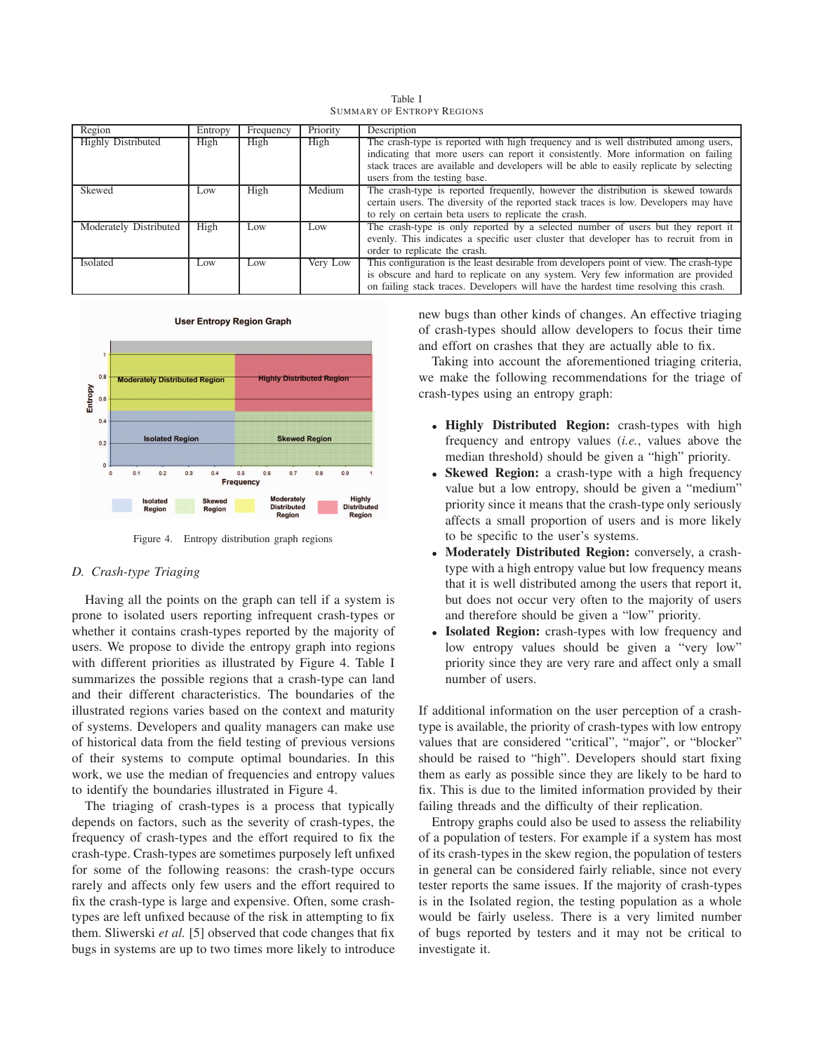| Region                    | Entropy         | Frequency | Priority | Description                                                                                                                                                                                                                                                                                          |
|---------------------------|-----------------|-----------|----------|------------------------------------------------------------------------------------------------------------------------------------------------------------------------------------------------------------------------------------------------------------------------------------------------------|
| <b>Highly Distributed</b> | High            | High      | High     | The crash-type is reported with high frequency and is well distributed among users,<br>indicating that more users can report it consistently. More information on failing<br>stack traces are available and developers will be able to easily replicate by selecting<br>users from the testing base. |
| Skewed                    | L <sub>ow</sub> | High      | Medium   | The crash-type is reported frequently, however the distribution is skewed towards<br>certain users. The diversity of the reported stack traces is low. Developers may have<br>to rely on certain beta users to replicate the crash.                                                                  |
| Moderately Distributed    | High            | Low.      | Low      | The crash-type is only reported by a selected number of users but they report it<br>evenly. This indicates a specific user cluster that developer has to recruit from in<br>order to replicate the crash.                                                                                            |
| Isolated                  | L <sub>ow</sub> | Low       | Very Low | This configuration is the least desirable from developers point of view. The crash-type<br>is obscure and hard to replicate on any system. Very few information are provided<br>on failing stack traces. Developers will have the hardest time resolving this crash.                                 |

Table I SUMMARY OF ENTROPY REGIONS





Figure 4. Entropy distribution graph regions

## *D. Crash-type Triaging*

Having all the points on the graph can tell if a system is prone to isolated users reporting infrequent crash-types or whether it contains crash-types reported by the majority of users. We propose to divide the entropy graph into regions with different priorities as illustrated by Figure 4. Table I summarizes the possible regions that a crash-type can land and their different characteristics. The boundaries of the illustrated regions varies based on the context and maturity of systems. Developers and quality managers can make use of historical data from the field testing of previous versions of their systems to compute optimal boundaries. In this work, we use the median of frequencies and entropy values to identify the boundaries illustrated in Figure 4.

The triaging of crash-types is a process that typically depends on factors, such as the severity of crash-types, the frequency of crash-types and the effort required to fix the crash-type. Crash-types are sometimes purposely left unfixed for some of the following reasons: the crash-type occurs rarely and affects only few users and the effort required to fix the crash-type is large and expensive. Often, some crashtypes are left unfixed because of the risk in attempting to fix them. Sliwerski *et al.* [5] observed that code changes that fix bugs in systems are up to two times more likely to introduce new bugs than other kinds of changes. An effective triaging of crash-types should allow developers to focus their time and effort on crashes that they are actually able to fix.

Taking into account the aforementioned triaging criteria, we make the following recommendations for the triage of crash-types using an entropy graph:

- *•* **Highly Distributed Region:** crash-types with high frequency and entropy values (*i.e.*, values above the median threshold) should be given a "high" priority.
- **Skewed Region:** a crash-type with a high frequency value but a low entropy, should be given a "medium" priority since it means that the crash-type only seriously affects a small proportion of users and is more likely to be specific to the user's systems.
- *•* **Moderately Distributed Region:** conversely, a crashtype with a high entropy value but low frequency means that it is well distributed among the users that report it, but does not occur very often to the majority of users and therefore should be given a "low" priority.
- **Isolated Region:** crash-types with low frequency and low entropy values should be given a "very low" priority since they are very rare and affect only a small number of users.

If additional information on the user perception of a crashtype is available, the priority of crash-types with low entropy values that are considered "critical", "major", or "blocker" should be raised to "high". Developers should start fixing them as early as possible since they are likely to be hard to fix. This is due to the limited information provided by their failing threads and the difficulty of their replication.

Entropy graphs could also be used to assess the reliability of a population of testers. For example if a system has most of its crash-types in the skew region, the population of testers in general can be considered fairly reliable, since not every tester reports the same issues. If the majority of crash-types is in the Isolated region, the testing population as a whole would be fairly useless. There is a very limited number of bugs reported by testers and it may not be critical to investigate it.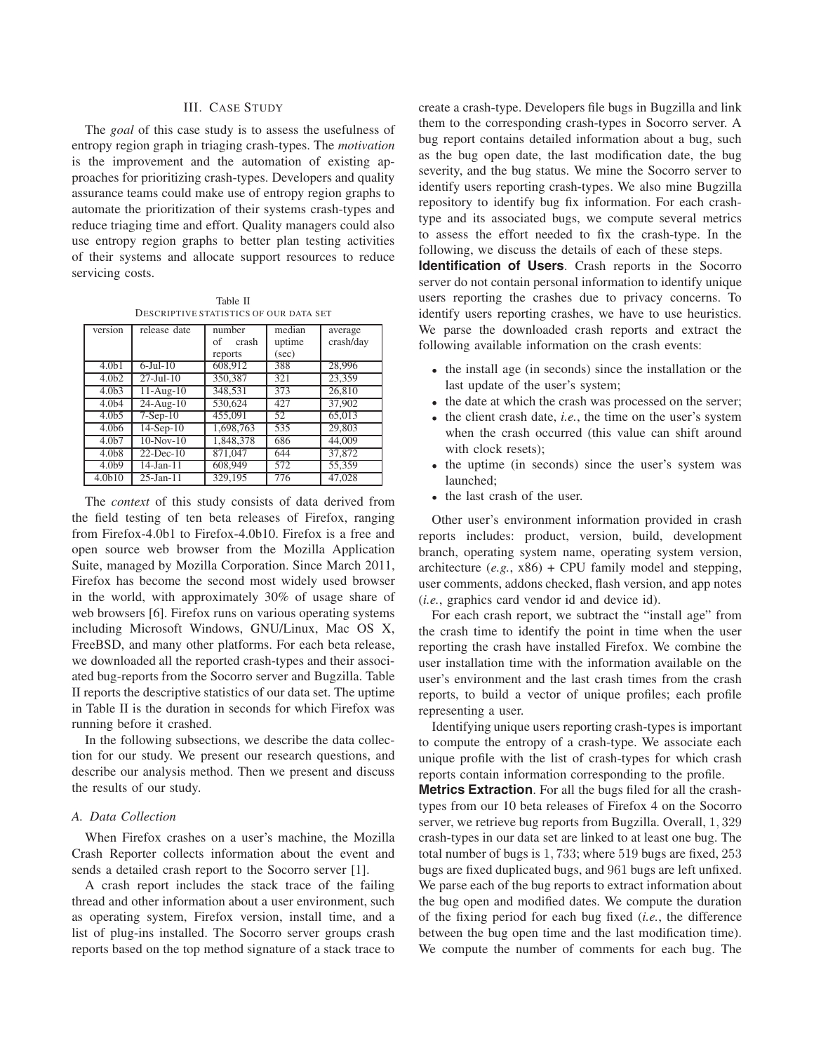## III. CASE STUDY

The *goal* of this case study is to assess the usefulness of entropy region graph in triaging crash-types. The *motivation* is the improvement and the automation of existing approaches for prioritizing crash-types. Developers and quality assurance teams could make use of entropy region graphs to automate the prioritization of their systems crash-types and reduce triaging time and effort. Quality managers could also use entropy region graphs to better plan testing activities of their systems and allocate support resources to reduce servicing costs.

Table II DESCRIPTIVE STATISTICS OF OUR DATA SET

| version            | release date    | number      | median | average   |
|--------------------|-----------------|-------------|--------|-----------|
|                    |                 | of<br>crash | uptime | crash/day |
|                    |                 | reports     | (sec)  |           |
| $\overline{4.0}b1$ | $6$ -Jul- $10$  | 608,912     | 388    | 28,996    |
| 4.0 <sub>b2</sub>  | $27$ -Jul-10    | 350,387     | 321    | 23.359    |
| $\overline{4.0}b3$ | $11-Aug-10$     | 348.531     | 373    | 26,810    |
| 4.0 <sub>b4</sub>  | $24-Aug-10$     | 530,624     | 427    | 37,902    |
| 4.0 <sub>b5</sub>  | $7-Sep-10$      | 455,091     | 52     | 65,013    |
| 4.0 <sub>b6</sub>  | $14-Sep-10$     | 1.698.763   | 535    | 29,803    |
| 4.0 <sub>b7</sub>  | $10-Nov-10$     | 1,848,378   | 686    | 44,009    |
| 4.0 <sub>b</sub> 8 | $22$ -Dec-10    | 871,047     | 644    | 37,872    |
| 4.0 <sub>b</sub> 9 | $14$ -Jan- $11$ | 608.949     | 572    | 55.359    |
| 4.0 <sub>b10</sub> | $25$ -Jan-11    | 329.195     | 776    | 47,028    |

The *context* of this study consists of data derived from the field testing of ten beta releases of Firefox, ranging from Firefox-4.0b1 to Firefox-4.0b10. Firefox is a free and open source web browser from the Mozilla Application Suite, managed by Mozilla Corporation. Since March 2011, Firefox has become the second most widely used browser in the world, with approximately 30% of usage share of web browsers [6]. Firefox runs on various operating systems including Microsoft Windows, GNU/Linux, Mac OS X, FreeBSD, and many other platforms. For each beta release, we downloaded all the reported crash-types and their associated bug-reports from the Socorro server and Bugzilla. Table II reports the descriptive statistics of our data set. The uptime in Table II is the duration in seconds for which Firefox was running before it crashed.

In the following subsections, we describe the data collection for our study. We present our research questions, and describe our analysis method. Then we present and discuss the results of our study.

## *A. Data Collection*

When Firefox crashes on a user's machine, the Mozilla Crash Reporter collects information about the event and sends a detailed crash report to the Socorro server [1].

A crash report includes the stack trace of the failing thread and other information about a user environment, such as operating system, Firefox version, install time, and a list of plug-ins installed. The Socorro server groups crash reports based on the top method signature of a stack trace to create a crash-type. Developers file bugs in Bugzilla and link them to the corresponding crash-types in Socorro server. A bug report contains detailed information about a bug, such as the bug open date, the last modification date, the bug severity, and the bug status. We mine the Socorro server to identify users reporting crash-types. We also mine Bugzilla repository to identify bug fix information. For each crashtype and its associated bugs, we compute several metrics to assess the effort needed to fix the crash-type. In the following, we discuss the details of each of these steps.

**Identification of Users**. Crash reports in the Socorro server do not contain personal information to identify unique users reporting the crashes due to privacy concerns. To identify users reporting crashes, we have to use heuristics. We parse the downloaded crash reports and extract the following available information on the crash events:

- *•* the install age (in seconds) since the installation or the last update of the user's system;
- the date at which the crash was processed on the server;
- *•* the client crash date, *i.e.*, the time on the user's system when the crash occurred (this value can shift around with clock resets);
- the uptime (in seconds) since the user's system was launched;
- *•* the last crash of the user.

Other user's environment information provided in crash reports includes: product, version, build, development branch, operating system name, operating system version, architecture  $(e.g., x86) + CPU$  family model and stepping, user comments, addons checked, flash version, and app notes (*i.e.*, graphics card vendor id and device id).

For each crash report, we subtract the "install age" from the crash time to identify the point in time when the user reporting the crash have installed Firefox. We combine the user installation time with the information available on the user's environment and the last crash times from the crash reports, to build a vector of unique profiles; each profile representing a user.

Identifying unique users reporting crash-types is important to compute the entropy of a crash-type. We associate each unique profile with the list of crash-types for which crash reports contain information corresponding to the profile.

**Metrics Extraction**. For all the bugs filed for all the crashtypes from our 10 beta releases of Firefox 4 on the Socorro server, we retrieve bug reports from Bugzilla. Overall, 1*,* 329 crash-types in our data set are linked to at least one bug. The total number of bugs is 1*,* 733; where 519 bugs are fixed, 253 bugs are fixed duplicated bugs, and 961 bugs are left unfixed. We parse each of the bug reports to extract information about the bug open and modified dates. We compute the duration of the fixing period for each bug fixed (*i.e.*, the difference between the bug open time and the last modification time). We compute the number of comments for each bug. The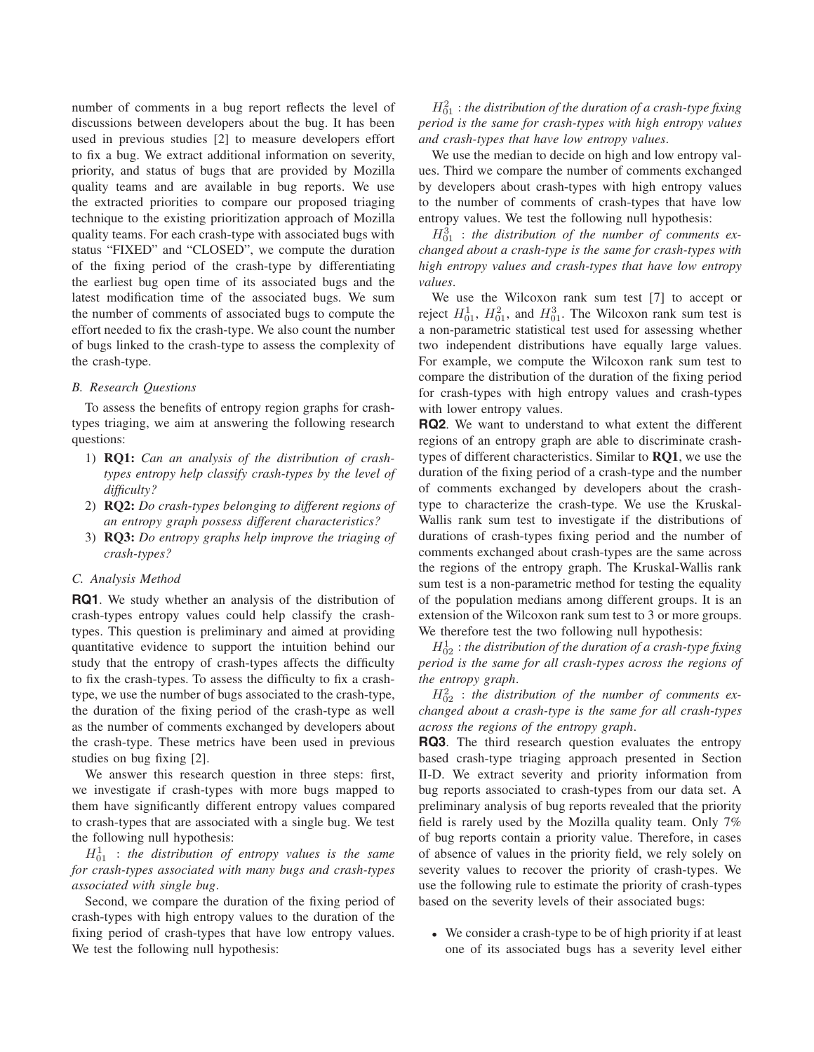number of comments in a bug report reflects the level of discussions between developers about the bug. It has been used in previous studies [2] to measure developers effort to fix a bug. We extract additional information on severity, priority, and status of bugs that are provided by Mozilla quality teams and are available in bug reports. We use the extracted priorities to compare our proposed triaging technique to the existing prioritization approach of Mozilla quality teams. For each crash-type with associated bugs with status "FIXED" and "CLOSED", we compute the duration of the fixing period of the crash-type by differentiating the earliest bug open time of its associated bugs and the latest modification time of the associated bugs. We sum the number of comments of associated bugs to compute the effort needed to fix the crash-type. We also count the number of bugs linked to the crash-type to assess the complexity of the crash-type.

#### *B. Research Questions*

To assess the benefits of entropy region graphs for crashtypes triaging, we aim at answering the following research questions:

- 1) **RQ1:** *Can an analysis of the distribution of crashtypes entropy help classify crash-types by the level of difficulty?*
- 2) **RQ2:** *Do crash-types belonging to different regions of an entropy graph possess different characteristics?*
- 3) **RQ3:** *Do entropy graphs help improve the triaging of crash-types?*

# *C. Analysis Method*

**RQ1**. We study whether an analysis of the distribution of crash-types entropy values could help classify the crashtypes. This question is preliminary and aimed at providing quantitative evidence to support the intuition behind our study that the entropy of crash-types affects the difficulty to fix the crash-types. To assess the difficulty to fix a crashtype, we use the number of bugs associated to the crash-type, the duration of the fixing period of the crash-type as well as the number of comments exchanged by developers about the crash-type. These metrics have been used in previous studies on bug fixing [2].

We answer this research question in three steps: first, we investigate if crash-types with more bugs mapped to them have significantly different entropy values compared to crash-types that are associated with a single bug. We test the following null hypothesis:

 $H_{01}^1$  : *the distribution of entropy values is the same for crash-types associated with many bugs and crash-types associated with single bug*.

Second, we compare the duration of the fixing period of crash-types with high entropy values to the duration of the fixing period of crash-types that have low entropy values. We test the following null hypothesis:

 $H_{01}^2$  : *the distribution of the duration of a crash-type fixing period is the same for crash-types with high entropy values and crash-types that have low entropy values*.

We use the median to decide on high and low entropy values. Third we compare the number of comments exchanged by developers about crash-types with high entropy values to the number of comments of crash-types that have low entropy values. We test the following null hypothesis:

 $H_{01}^3$  : *the distribution of the number of comments exchanged about a crash-type is the same for crash-types with high entropy values and crash-types that have low entropy values*.

We use the Wilcoxon rank sum test [7] to accept or reject  $H_{01}^1$ ,  $H_{01}^2$ , and  $H_{01}^3$ . The Wilcoxon rank sum test is a non-parametric statistical test used for assessing whether two independent distributions have equally large values. For example, we compute the Wilcoxon rank sum test to compare the distribution of the duration of the fixing period for crash-types with high entropy values and crash-types with lower entropy values.

**RQ2**. We want to understand to what extent the different regions of an entropy graph are able to discriminate crashtypes of different characteristics. Similar to **RQ1**, we use the duration of the fixing period of a crash-type and the number of comments exchanged by developers about the crashtype to characterize the crash-type. We use the Kruskal-Wallis rank sum test to investigate if the distributions of durations of crash-types fixing period and the number of comments exchanged about crash-types are the same across the regions of the entropy graph. The Kruskal-Wallis rank sum test is a non-parametric method for testing the equality of the population medians among different groups. It is an extension of the Wilcoxon rank sum test to 3 or more groups. We therefore test the two following null hypothesis:

 $H_{02}^1$  : *the distribution of the duration of a crash-type fixing period is the same for all crash-types across the regions of the entropy graph*.

 $H_{02}^2$  : *the distribution of the number of comments exchanged about a crash-type is the same for all crash-types across the regions of the entropy graph*.

**RQ3**. The third research question evaluates the entropy based crash-type triaging approach presented in Section II-D. We extract severity and priority information from bug reports associated to crash-types from our data set. A preliminary analysis of bug reports revealed that the priority field is rarely used by the Mozilla quality team. Only 7% of bug reports contain a priority value. Therefore, in cases of absence of values in the priority field, we rely solely on severity values to recover the priority of crash-types. We use the following rule to estimate the priority of crash-types based on the severity levels of their associated bugs:

*•* We consider a crash-type to be of high priority if at least one of its associated bugs has a severity level either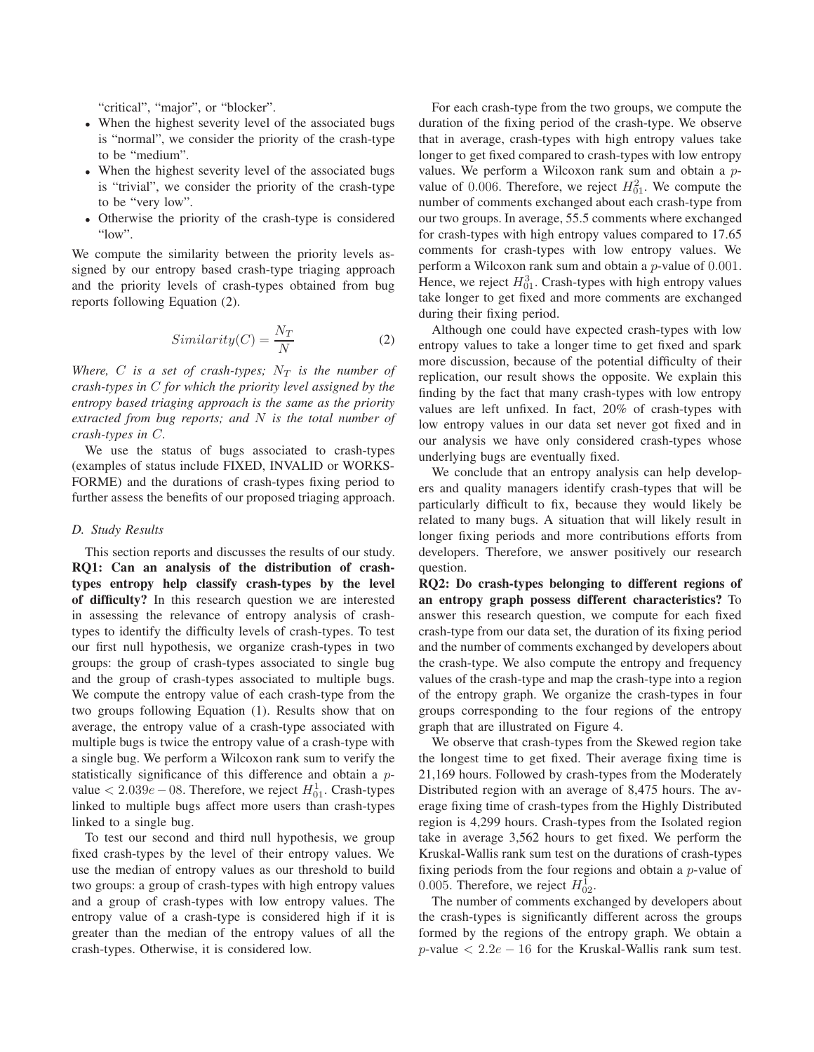"critical", "major", or "blocker".

- *•* When the highest severity level of the associated bugs is "normal", we consider the priority of the crash-type to be "medium".
- When the highest severity level of the associated bugs is "trivial", we consider the priority of the crash-type to be "very low".
- *•* Otherwise the priority of the crash-type is considered "low".

We compute the similarity between the priority levels assigned by our entropy based crash-type triaging approach and the priority levels of crash-types obtained from bug reports following Equation (2).

$$
Similarity(C) = \frac{N_T}{N}
$$
 (2)

*Where, C is a set of crash-types;*  $N_T$  *is the number of crash-types in C for which the priority level assigned by the entropy based triaging approach is the same as the priority extracted from bug reports; and N is the total number of crash-types in C.*

We use the status of bugs associated to crash-types (examples of status include FIXED, INVALID or WORKS-FORME) and the durations of crash-types fixing period to further assess the benefits of our proposed triaging approach.

#### *D. Study Results*

This section reports and discusses the results of our study. **RQ1: Can an analysis of the distribution of crashtypes entropy help classify crash-types by the level of difficulty?** In this research question we are interested in assessing the relevance of entropy analysis of crashtypes to identify the difficulty levels of crash-types. To test our first null hypothesis, we organize crash-types in two groups: the group of crash-types associated to single bug and the group of crash-types associated to multiple bugs. We compute the entropy value of each crash-type from the two groups following Equation (1). Results show that on average, the entropy value of a crash-type associated with multiple bugs is twice the entropy value of a crash-type with a single bug. We perform a Wilcoxon rank sum to verify the statistically significance of this difference and obtain a *p*value  $<$  2.039 $e$  – 08. Therefore, we reject  $H_{01}^1$ . Crash-types linked to multiple bugs affect more users than crash-types linked to a single bug.

To test our second and third null hypothesis, we group fixed crash-types by the level of their entropy values. We use the median of entropy values as our threshold to build two groups: a group of crash-types with high entropy values and a group of crash-types with low entropy values. The entropy value of a crash-type is considered high if it is greater than the median of the entropy values of all the crash-types. Otherwise, it is considered low.

For each crash-type from the two groups, we compute the duration of the fixing period of the crash-type. We observe that in average, crash-types with high entropy values take longer to get fixed compared to crash-types with low entropy values. We perform a Wilcoxon rank sum and obtain a *p*value of 0.006. Therefore, we reject  $H_{01}^2$ . We compute the number of comments exchanged about each crash-type from our two groups. In average, 55.5 comments where exchanged for crash-types with high entropy values compared to 17.65 comments for crash-types with low entropy values. We perform a Wilcoxon rank sum and obtain a *p*-value of 0*.*001. Hence, we reject  $H_{01}^3$ . Crash-types with high entropy values take longer to get fixed and more comments are exchanged during their fixing period.

Although one could have expected crash-types with low entropy values to take a longer time to get fixed and spark more discussion, because of the potential difficulty of their replication, our result shows the opposite. We explain this finding by the fact that many crash-types with low entropy values are left unfixed. In fact, 20% of crash-types with low entropy values in our data set never got fixed and in our analysis we have only considered crash-types whose underlying bugs are eventually fixed.

We conclude that an entropy analysis can help developers and quality managers identify crash-types that will be particularly difficult to fix, because they would likely be related to many bugs. A situation that will likely result in longer fixing periods and more contributions efforts from developers. Therefore, we answer positively our research question.

**RQ2: Do crash-types belonging to different regions of an entropy graph possess different characteristics?** To answer this research question, we compute for each fixed crash-type from our data set, the duration of its fixing period and the number of comments exchanged by developers about the crash-type. We also compute the entropy and frequency values of the crash-type and map the crash-type into a region of the entropy graph. We organize the crash-types in four groups corresponding to the four regions of the entropy graph that are illustrated on Figure 4.

We observe that crash-types from the Skewed region take the longest time to get fixed. Their average fixing time is 21,169 hours. Followed by crash-types from the Moderately Distributed region with an average of 8,475 hours. The average fixing time of crash-types from the Highly Distributed region is 4,299 hours. Crash-types from the Isolated region take in average 3,562 hours to get fixed. We perform the Kruskal-Wallis rank sum test on the durations of crash-types fixing periods from the four regions and obtain a *p*-value of 0.005. Therefore, we reject  $H_{02}^1$ .

The number of comments exchanged by developers about the crash-types is significantly different across the groups formed by the regions of the entropy graph. We obtain a  $p$ -value  $\langle 2.2e - 16$  for the Kruskal-Wallis rank sum test.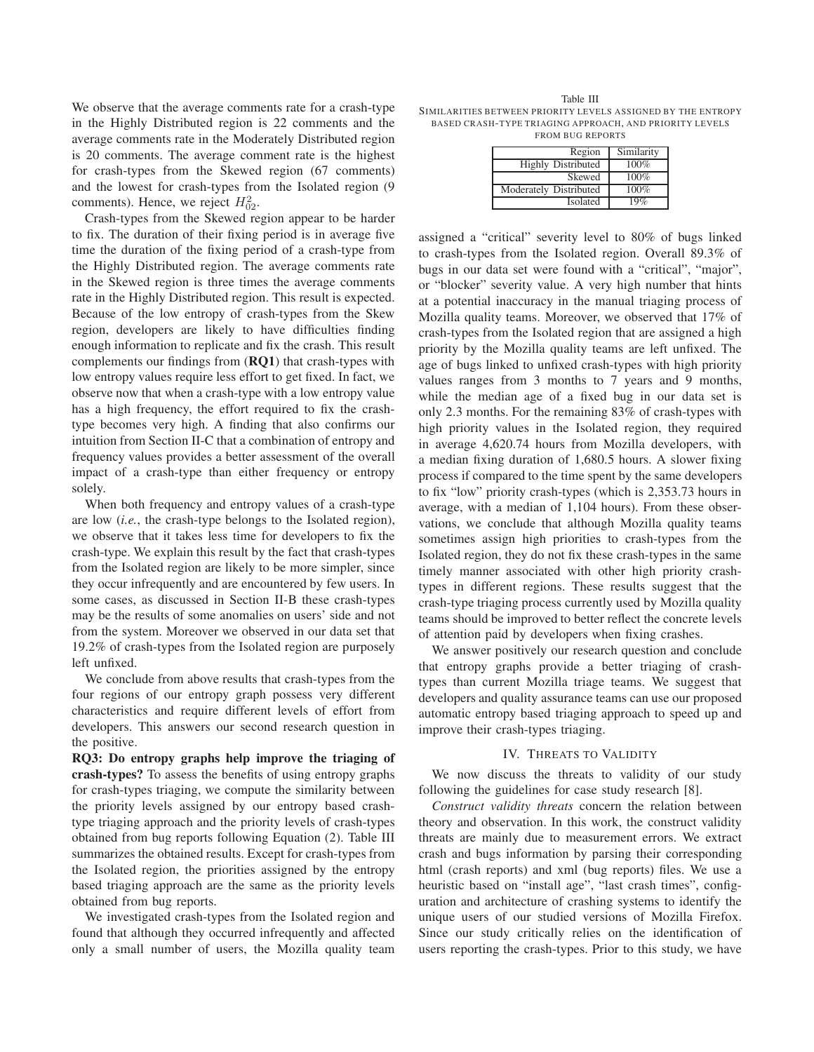We observe that the average comments rate for a crash-type in the Highly Distributed region is 22 comments and the average comments rate in the Moderately Distributed region is 20 comments. The average comment rate is the highest for crash-types from the Skewed region (67 comments) and the lowest for crash-types from the Isolated region (9 comments). Hence, we reject  $H_{02}^2$ .

Crash-types from the Skewed region appear to be harder to fix. The duration of their fixing period is in average five time the duration of the fixing period of a crash-type from the Highly Distributed region. The average comments rate in the Skewed region is three times the average comments rate in the Highly Distributed region. This result is expected. Because of the low entropy of crash-types from the Skew region, developers are likely to have difficulties finding enough information to replicate and fix the crash. This result complements our findings from (**RQ1**) that crash-types with low entropy values require less effort to get fixed. In fact, we observe now that when a crash-type with a low entropy value has a high frequency, the effort required to fix the crashtype becomes very high. A finding that also confirms our intuition from Section II-C that a combination of entropy and frequency values provides a better assessment of the overall impact of a crash-type than either frequency or entropy solely.

When both frequency and entropy values of a crash-type are low (*i.e.*, the crash-type belongs to the Isolated region), we observe that it takes less time for developers to fix the crash-type. We explain this result by the fact that crash-types from the Isolated region are likely to be more simpler, since they occur infrequently and are encountered by few users. In some cases, as discussed in Section II-B these crash-types may be the results of some anomalies on users' side and not from the system. Moreover we observed in our data set that 19.2% of crash-types from the Isolated region are purposely left unfixed.

We conclude from above results that crash-types from the four regions of our entropy graph possess very different characteristics and require different levels of effort from developers. This answers our second research question in the positive.

**RQ3: Do entropy graphs help improve the triaging of crash-types?** To assess the benefits of using entropy graphs for crash-types triaging, we compute the similarity between the priority levels assigned by our entropy based crashtype triaging approach and the priority levels of crash-types obtained from bug reports following Equation (2). Table III summarizes the obtained results. Except for crash-types from the Isolated region, the priorities assigned by the entropy based triaging approach are the same as the priority levels obtained from bug reports.

We investigated crash-types from the Isolated region and found that although they occurred infrequently and affected only a small number of users, the Mozilla quality team

Table III SIMILARITIES BETWEEN PRIORITY LEVELS ASSIGNED BY THE ENTROPY BASED CRASH-TYPE TRIAGING APPROACH, AND PRIORITY LEVELS FROM BUG REPORTS

| Region                    | Similarity |
|---------------------------|------------|
| <b>Highly Distributed</b> | 100%       |
| Skewed                    | 100%       |
| Moderately Distributed    | 100%       |
| <b>Isolated</b>           | 19%        |

assigned a "critical" severity level to 80% of bugs linked to crash-types from the Isolated region. Overall 89.3% of bugs in our data set were found with a "critical", "major", or "blocker" severity value. A very high number that hints at a potential inaccuracy in the manual triaging process of Mozilla quality teams. Moreover, we observed that 17% of crash-types from the Isolated region that are assigned a high priority by the Mozilla quality teams are left unfixed. The age of bugs linked to unfixed crash-types with high priority values ranges from 3 months to 7 years and 9 months, while the median age of a fixed bug in our data set is only 2.3 months. For the remaining 83% of crash-types with high priority values in the Isolated region, they required in average 4,620.74 hours from Mozilla developers, with a median fixing duration of 1,680.5 hours. A slower fixing process if compared to the time spent by the same developers to fix "low" priority crash-types (which is 2,353.73 hours in average, with a median of 1,104 hours). From these observations, we conclude that although Mozilla quality teams sometimes assign high priorities to crash-types from the Isolated region, they do not fix these crash-types in the same timely manner associated with other high priority crashtypes in different regions. These results suggest that the crash-type triaging process currently used by Mozilla quality teams should be improved to better reflect the concrete levels of attention paid by developers when fixing crashes.

We answer positively our research question and conclude that entropy graphs provide a better triaging of crashtypes than current Mozilla triage teams. We suggest that developers and quality assurance teams can use our proposed automatic entropy based triaging approach to speed up and improve their crash-types triaging.

## IV. THREATS TO VALIDITY

We now discuss the threats to validity of our study following the guidelines for case study research [8].

*Construct validity threats* concern the relation between theory and observation. In this work, the construct validity threats are mainly due to measurement errors. We extract crash and bugs information by parsing their corresponding html (crash reports) and xml (bug reports) files. We use a heuristic based on "install age", "last crash times", configuration and architecture of crashing systems to identify the unique users of our studied versions of Mozilla Firefox. Since our study critically relies on the identification of users reporting the crash-types. Prior to this study, we have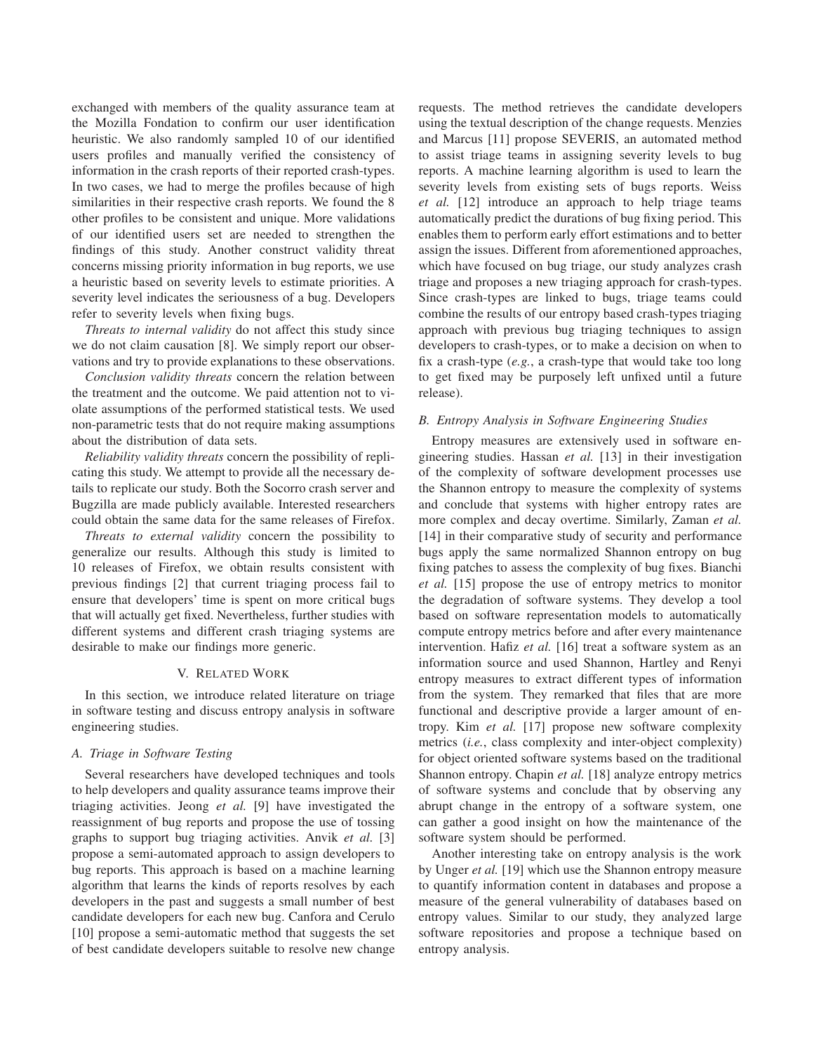exchanged with members of the quality assurance team at the Mozilla Fondation to confirm our user identification heuristic. We also randomly sampled 10 of our identified users profiles and manually verified the consistency of information in the crash reports of their reported crash-types. In two cases, we had to merge the profiles because of high similarities in their respective crash reports. We found the 8 other profiles to be consistent and unique. More validations of our identified users set are needed to strengthen the findings of this study. Another construct validity threat concerns missing priority information in bug reports, we use a heuristic based on severity levels to estimate priorities. A severity level indicates the seriousness of a bug. Developers refer to severity levels when fixing bugs.

*Threats to internal validity* do not affect this study since we do not claim causation [8]. We simply report our observations and try to provide explanations to these observations.

*Conclusion validity threats* concern the relation between the treatment and the outcome. We paid attention not to violate assumptions of the performed statistical tests. We used non-parametric tests that do not require making assumptions about the distribution of data sets.

*Reliability validity threats* concern the possibility of replicating this study. We attempt to provide all the necessary details to replicate our study. Both the Socorro crash server and Bugzilla are made publicly available. Interested researchers could obtain the same data for the same releases of Firefox.

*Threats to external validity* concern the possibility to generalize our results. Although this study is limited to 10 releases of Firefox, we obtain results consistent with previous findings [2] that current triaging process fail to ensure that developers' time is spent on more critical bugs that will actually get fixed. Nevertheless, further studies with different systems and different crash triaging systems are desirable to make our findings more generic.

#### V. RELATED WORK

In this section, we introduce related literature on triage in software testing and discuss entropy analysis in software engineering studies.

## *A. Triage in Software Testing*

Several researchers have developed techniques and tools to help developers and quality assurance teams improve their triaging activities. Jeong *et al.* [9] have investigated the reassignment of bug reports and propose the use of tossing graphs to support bug triaging activities. Anvik *et al.* [3] propose a semi-automated approach to assign developers to bug reports. This approach is based on a machine learning algorithm that learns the kinds of reports resolves by each developers in the past and suggests a small number of best candidate developers for each new bug. Canfora and Cerulo [10] propose a semi-automatic method that suggests the set of best candidate developers suitable to resolve new change requests. The method retrieves the candidate developers using the textual description of the change requests. Menzies and Marcus [11] propose SEVERIS, an automated method to assist triage teams in assigning severity levels to bug reports. A machine learning algorithm is used to learn the severity levels from existing sets of bugs reports. Weiss *et al.* [12] introduce an approach to help triage teams automatically predict the durations of bug fixing period. This enables them to perform early effort estimations and to better assign the issues. Different from aforementioned approaches, which have focused on bug triage, our study analyzes crash triage and proposes a new triaging approach for crash-types. Since crash-types are linked to bugs, triage teams could combine the results of our entropy based crash-types triaging approach with previous bug triaging techniques to assign developers to crash-types, or to make a decision on when to fix a crash-type (*e.g.*, a crash-type that would take too long to get fixed may be purposely left unfixed until a future release).

# *B. Entropy Analysis in Software Engineering Studies*

Entropy measures are extensively used in software engineering studies. Hassan *et al.* [13] in their investigation of the complexity of software development processes use the Shannon entropy to measure the complexity of systems and conclude that systems with higher entropy rates are more complex and decay overtime. Similarly, Zaman *et al.* [14] in their comparative study of security and performance bugs apply the same normalized Shannon entropy on bug fixing patches to assess the complexity of bug fixes. Bianchi *et al.* [15] propose the use of entropy metrics to monitor the degradation of software systems. They develop a tool based on software representation models to automatically compute entropy metrics before and after every maintenance intervention. Hafiz *et al.* [16] treat a software system as an information source and used Shannon, Hartley and Renyi entropy measures to extract different types of information from the system. They remarked that files that are more functional and descriptive provide a larger amount of entropy. Kim *et al.* [17] propose new software complexity metrics (*i.e.*, class complexity and inter-object complexity) for object oriented software systems based on the traditional Shannon entropy. Chapin *et al.* [18] analyze entropy metrics of software systems and conclude that by observing any abrupt change in the entropy of a software system, one can gather a good insight on how the maintenance of the software system should be performed.

Another interesting take on entropy analysis is the work by Unger *et al.* [19] which use the Shannon entropy measure to quantify information content in databases and propose a measure of the general vulnerability of databases based on entropy values. Similar to our study, they analyzed large software repositories and propose a technique based on entropy analysis.